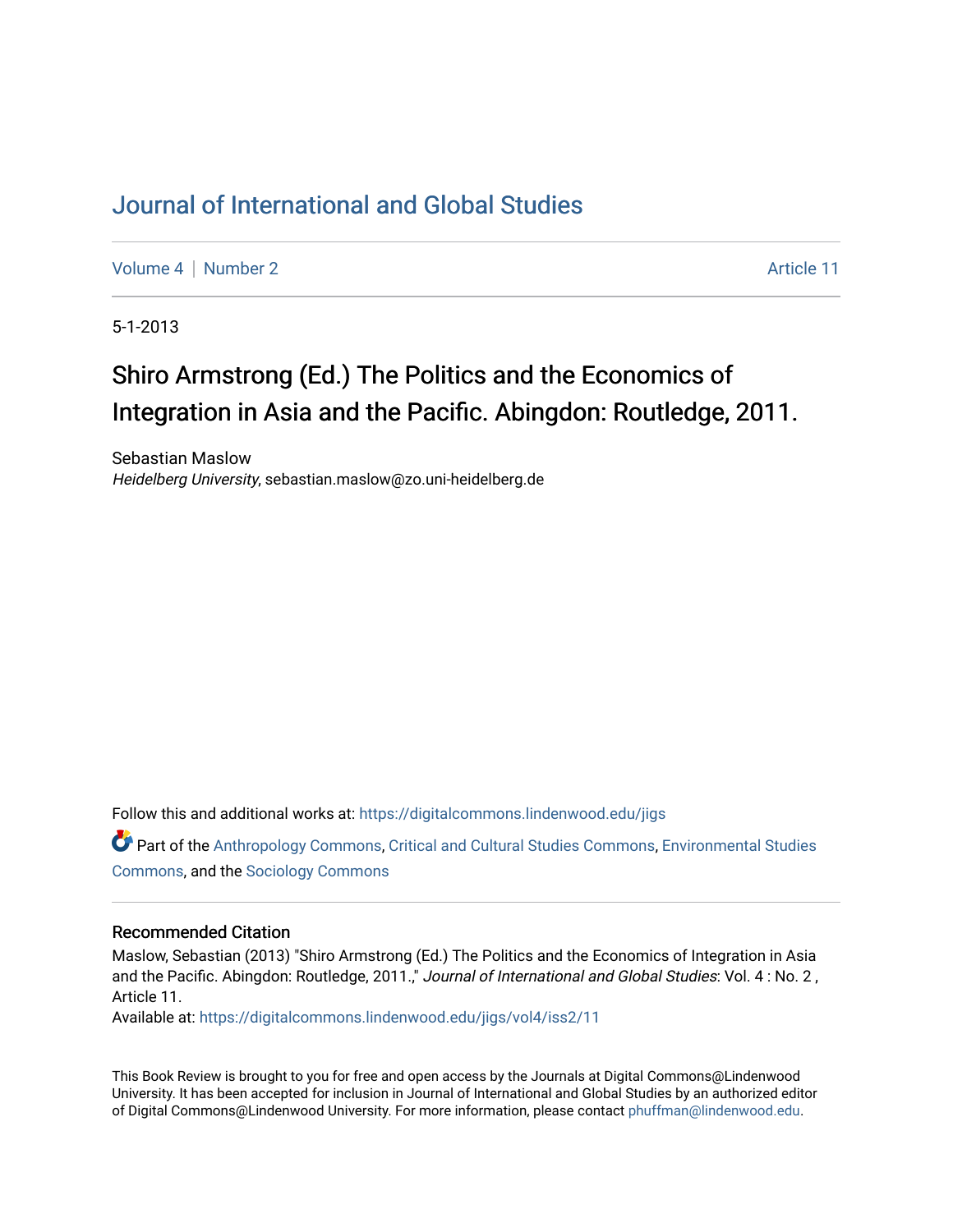## [Journal of International and Global Studies](https://digitalcommons.lindenwood.edu/jigs)

[Volume 4](https://digitalcommons.lindenwood.edu/jigs/vol4) | [Number 2](https://digitalcommons.lindenwood.edu/jigs/vol4/iss2) Article 11

5-1-2013

## Shiro Armstrong (Ed.) The Politics and the Economics of Integration in Asia and the Pacific. Abingdon: Routledge, 2011.

Sebastian Maslow Heidelberg University, sebastian.maslow@zo.uni-heidelberg.de

Follow this and additional works at: [https://digitalcommons.lindenwood.edu/jigs](https://digitalcommons.lindenwood.edu/jigs?utm_source=digitalcommons.lindenwood.edu%2Fjigs%2Fvol4%2Fiss2%2F11&utm_medium=PDF&utm_campaign=PDFCoverPages) 

Part of the [Anthropology Commons](http://network.bepress.com/hgg/discipline/318?utm_source=digitalcommons.lindenwood.edu%2Fjigs%2Fvol4%2Fiss2%2F11&utm_medium=PDF&utm_campaign=PDFCoverPages), [Critical and Cultural Studies Commons](http://network.bepress.com/hgg/discipline/328?utm_source=digitalcommons.lindenwood.edu%2Fjigs%2Fvol4%2Fiss2%2F11&utm_medium=PDF&utm_campaign=PDFCoverPages), [Environmental Studies](http://network.bepress.com/hgg/discipline/1333?utm_source=digitalcommons.lindenwood.edu%2Fjigs%2Fvol4%2Fiss2%2F11&utm_medium=PDF&utm_campaign=PDFCoverPages)  [Commons](http://network.bepress.com/hgg/discipline/1333?utm_source=digitalcommons.lindenwood.edu%2Fjigs%2Fvol4%2Fiss2%2F11&utm_medium=PDF&utm_campaign=PDFCoverPages), and the [Sociology Commons](http://network.bepress.com/hgg/discipline/416?utm_source=digitalcommons.lindenwood.edu%2Fjigs%2Fvol4%2Fiss2%2F11&utm_medium=PDF&utm_campaign=PDFCoverPages)

## Recommended Citation

Maslow, Sebastian (2013) "Shiro Armstrong (Ed.) The Politics and the Economics of Integration in Asia and the Pacific. Abingdon: Routledge, 2011.," Journal of International and Global Studies: Vol. 4: No. 2, Article 11.

Available at: [https://digitalcommons.lindenwood.edu/jigs/vol4/iss2/11](https://digitalcommons.lindenwood.edu/jigs/vol4/iss2/11?utm_source=digitalcommons.lindenwood.edu%2Fjigs%2Fvol4%2Fiss2%2F11&utm_medium=PDF&utm_campaign=PDFCoverPages) 

This Book Review is brought to you for free and open access by the Journals at Digital Commons@Lindenwood University. It has been accepted for inclusion in Journal of International and Global Studies by an authorized editor of Digital Commons@Lindenwood University. For more information, please contact [phuffman@lindenwood.edu](mailto:phuffman@lindenwood.edu).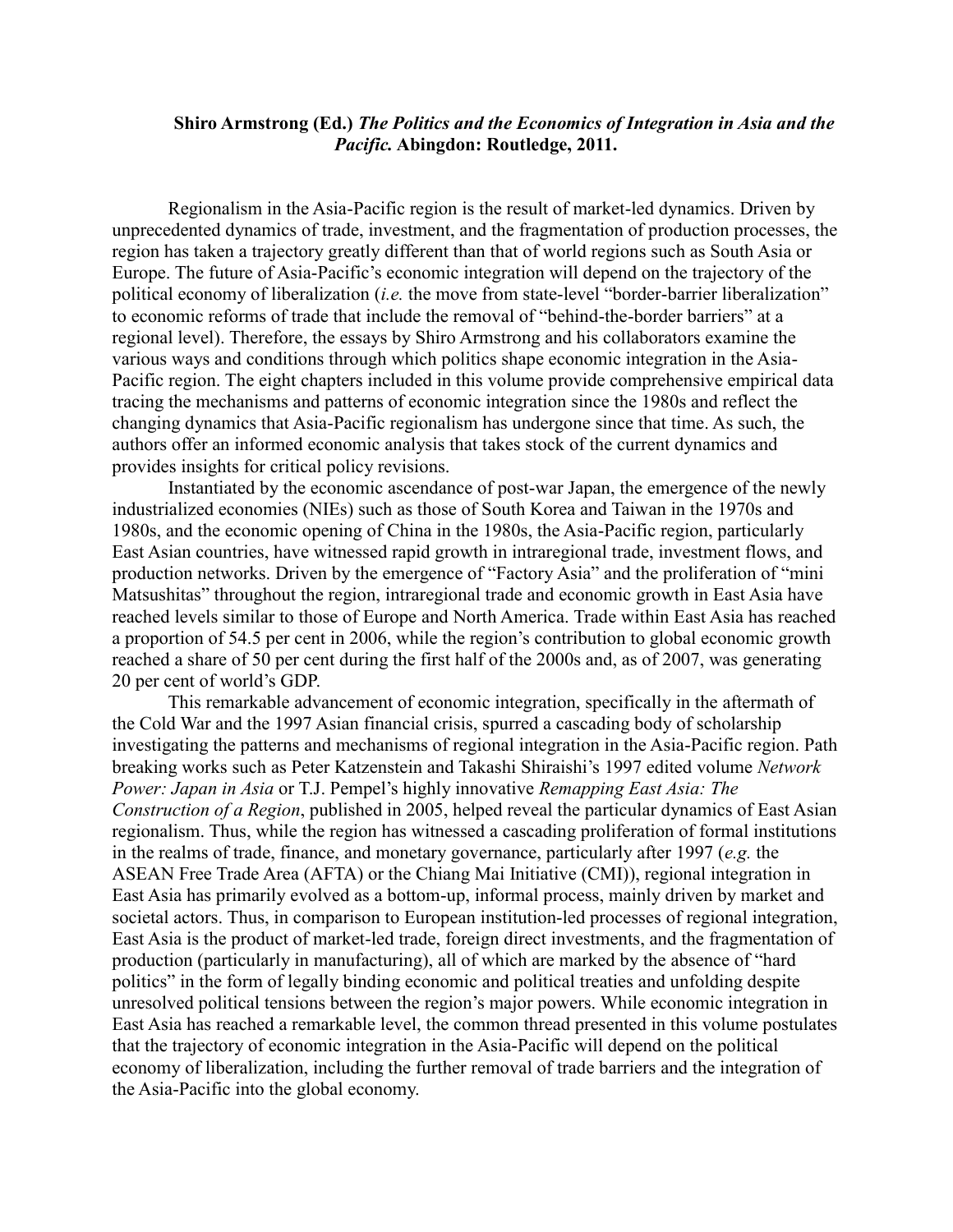## **Shiro Armstrong (Ed.)** *The Politics and the Economics of Integration in Asia and the Pacific.* **Abingdon: Routledge, 2011.**

Regionalism in the Asia-Pacific region is the result of market-led dynamics. Driven by unprecedented dynamics of trade, investment, and the fragmentation of production processes, the region has taken a trajectory greatly different than that of world regions such as South Asia or Europe. The future of Asia-Pacific's economic integration will depend on the trajectory of the political economy of liberalization (*i.e.* the move from state-level "border-barrier liberalization" to economic reforms of trade that include the removal of "behind-the-border barriers" at a regional level). Therefore, the essays by Shiro Armstrong and his collaborators examine the various ways and conditions through which politics shape economic integration in the Asia-Pacific region. The eight chapters included in this volume provide comprehensive empirical data tracing the mechanisms and patterns of economic integration since the 1980s and reflect the changing dynamics that Asia-Pacific regionalism has undergone since that time. As such, the authors offer an informed economic analysis that takes stock of the current dynamics and provides insights for critical policy revisions.

Instantiated by the economic ascendance of post-war Japan, the emergence of the newly industrialized economies (NIEs) such as those of South Korea and Taiwan in the 1970s and 1980s, and the economic opening of China in the 1980s, the Asia-Pacific region, particularly East Asian countries, have witnessed rapid growth in intraregional trade, investment flows, and production networks. Driven by the emergence of "Factory Asia" and the proliferation of "mini Matsushitas" throughout the region, intraregional trade and economic growth in East Asia have reached levels similar to those of Europe and North America. Trade within East Asia has reached a proportion of 54.5 per cent in 2006, while the region's contribution to global economic growth reached a share of 50 per cent during the first half of the 2000s and, as of 2007, was generating 20 per cent of world's GDP.

This remarkable advancement of economic integration, specifically in the aftermath of the Cold War and the 1997 Asian financial crisis, spurred a cascading body of scholarship investigating the patterns and mechanisms of regional integration in the Asia-Pacific region. Path breaking works such as Peter Katzenstein and Takashi Shiraishi's 1997 edited volume *Network Power: Japan in Asia* or T.J. Pempel's highly innovative *Remapping East Asia: The Construction of a Region*, published in 2005, helped reveal the particular dynamics of East Asian regionalism. Thus, while the region has witnessed a cascading proliferation of formal institutions in the realms of trade, finance, and monetary governance, particularly after 1997 (*e.g.* the ASEAN Free Trade Area (AFTA) or the Chiang Mai Initiative (CMI)), regional integration in East Asia has primarily evolved as a bottom-up, informal process, mainly driven by market and societal actors. Thus, in comparison to European institution-led processes of regional integration, East Asia is the product of market-led trade, foreign direct investments, and the fragmentation of production (particularly in manufacturing), all of which are marked by the absence of "hard politics" in the form of legally binding economic and political treaties and unfolding despite unresolved political tensions between the region's major powers. While economic integration in East Asia has reached a remarkable level, the common thread presented in this volume postulates that the trajectory of economic integration in the Asia-Pacific will depend on the political economy of liberalization, including the further removal of trade barriers and the integration of the Asia-Pacific into the global economy.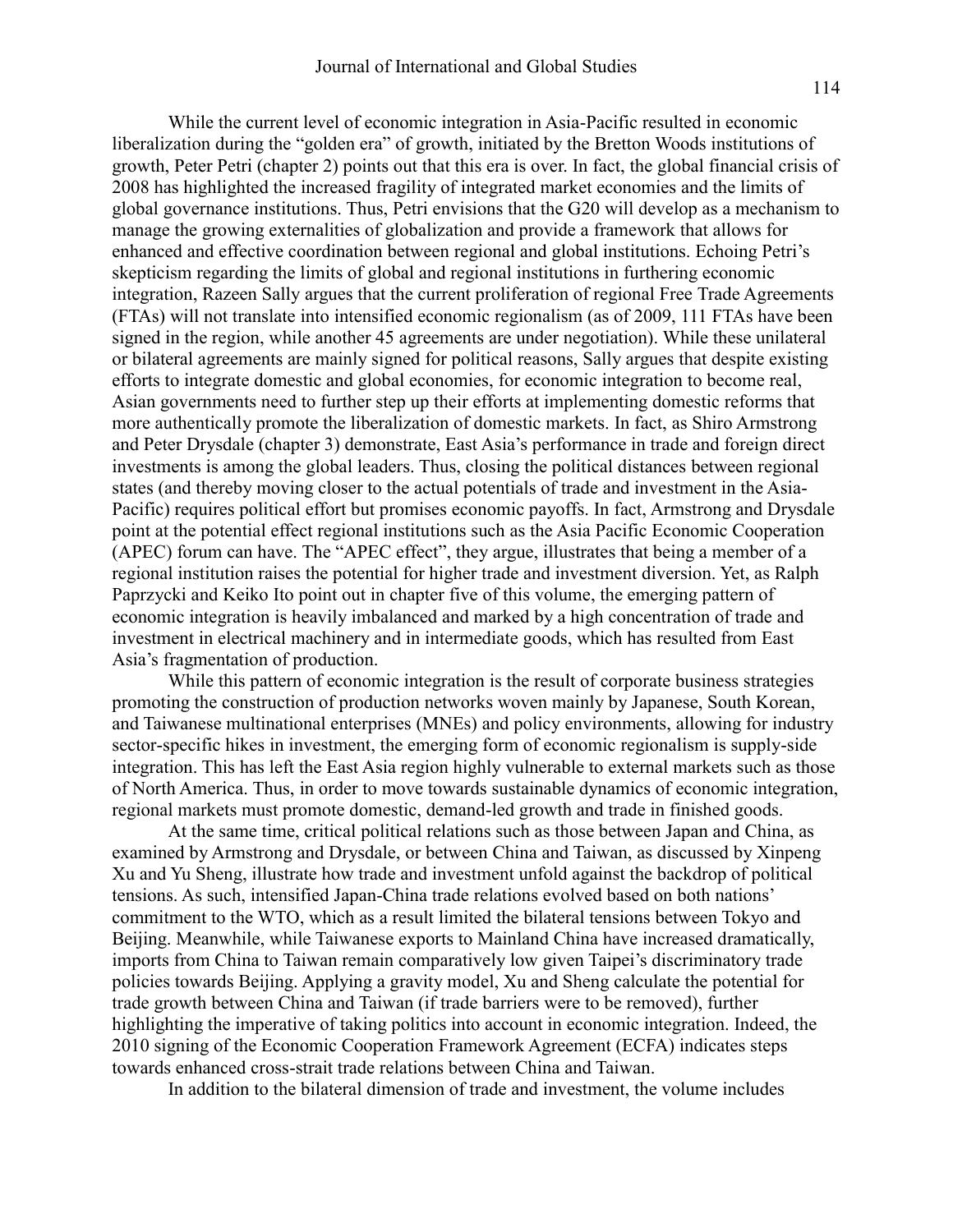While the current level of economic integration in Asia-Pacific resulted in economic liberalization during the "golden era" of growth, initiated by the Bretton Woods institutions of growth, Peter Petri (chapter 2) points out that this era is over. In fact, the global financial crisis of 2008 has highlighted the increased fragility of integrated market economies and the limits of global governance institutions. Thus, Petri envisions that the G20 will develop as a mechanism to manage the growing externalities of globalization and provide a framework that allows for enhanced and effective coordination between regional and global institutions. Echoing Petri's skepticism regarding the limits of global and regional institutions in furthering economic integration, Razeen Sally argues that the current proliferation of regional Free Trade Agreements (FTAs) will not translate into intensified economic regionalism (as of 2009, 111 FTAs have been signed in the region, while another 45 agreements are under negotiation). While these unilateral or bilateral agreements are mainly signed for political reasons, Sally argues that despite existing efforts to integrate domestic and global economies, for economic integration to become real, Asian governments need to further step up their efforts at implementing domestic reforms that more authentically promote the liberalization of domestic markets. In fact, as Shiro Armstrong and Peter Drysdale (chapter 3) demonstrate, East Asia's performance in trade and foreign direct investments is among the global leaders. Thus, closing the political distances between regional states (and thereby moving closer to the actual potentials of trade and investment in the Asia-Pacific) requires political effort but promises economic payoffs. In fact, Armstrong and Drysdale point at the potential effect regional institutions such as the Asia Pacific Economic Cooperation (APEC) forum can have. The "APEC effect", they argue, illustrates that being a member of a regional institution raises the potential for higher trade and investment diversion. Yet, as Ralph Paprzycki and Keiko Ito point out in chapter five of this volume, the emerging pattern of economic integration is heavily imbalanced and marked by a high concentration of trade and investment in electrical machinery and in intermediate goods, which has resulted from East Asia's fragmentation of production.

While this pattern of economic integration is the result of corporate business strategies promoting the construction of production networks woven mainly by Japanese, South Korean, and Taiwanese multinational enterprises (MNEs) and policy environments, allowing for industry sector-specific hikes in investment, the emerging form of economic regionalism is supply-side integration. This has left the East Asia region highly vulnerable to external markets such as those of North America. Thus, in order to move towards sustainable dynamics of economic integration, regional markets must promote domestic, demand-led growth and trade in finished goods.

At the same time, critical political relations such as those between Japan and China, as examined by Armstrong and Drysdale, or between China and Taiwan, as discussed by Xinpeng Xu and Yu Sheng, illustrate how trade and investment unfold against the backdrop of political tensions. As such, intensified Japan-China trade relations evolved based on both nations' commitment to the WTO, which as a result limited the bilateral tensions between Tokyo and Beijing. Meanwhile, while Taiwanese exports to Mainland China have increased dramatically, imports from China to Taiwan remain comparatively low given Taipei's discriminatory trade policies towards Beijing. Applying a gravity model, Xu and Sheng calculate the potential for trade growth between China and Taiwan (if trade barriers were to be removed), further highlighting the imperative of taking politics into account in economic integration. Indeed, the 2010 signing of the Economic Cooperation Framework Agreement (ECFA) indicates steps towards enhanced cross-strait trade relations between China and Taiwan.

In addition to the bilateral dimension of trade and investment, the volume includes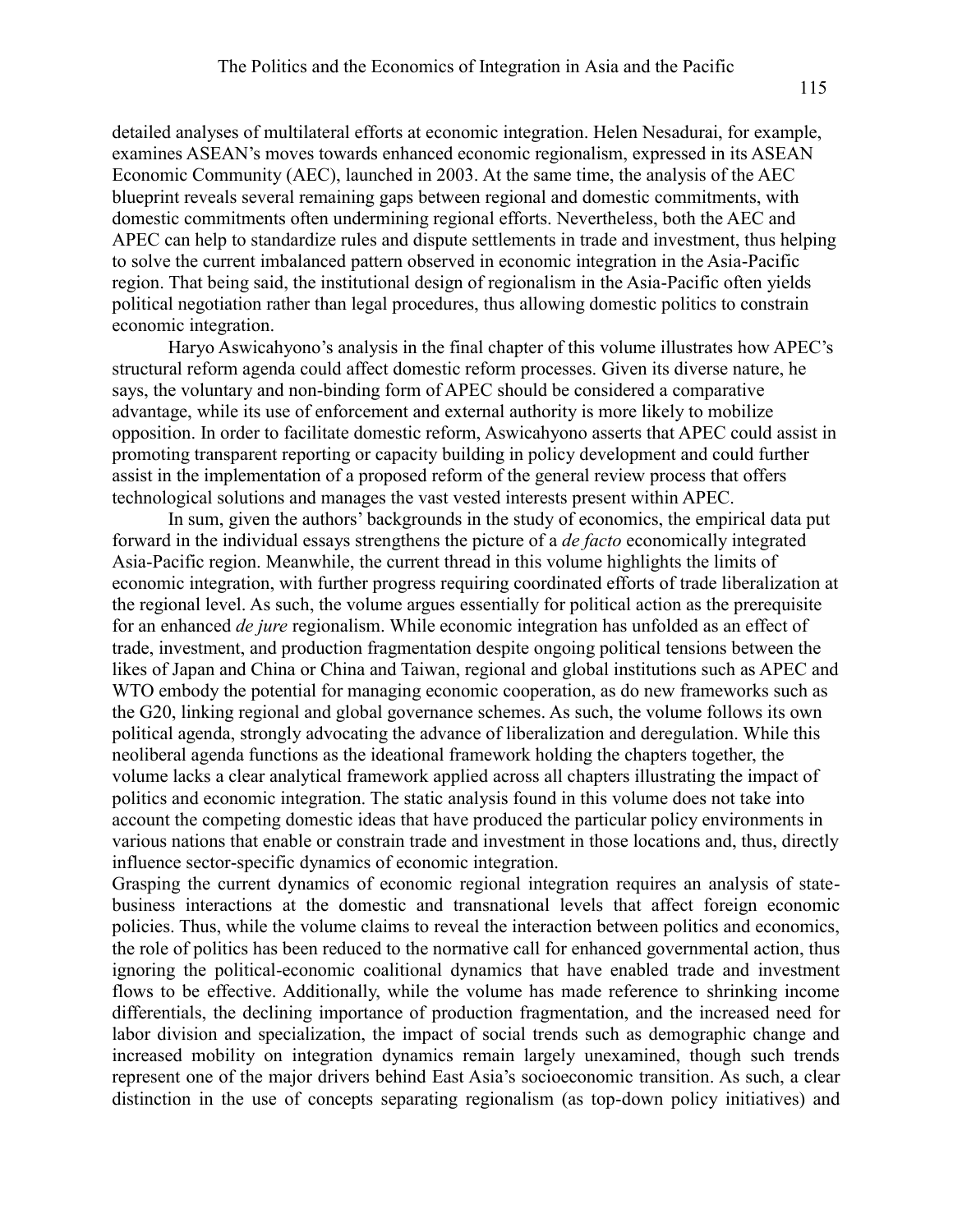detailed analyses of multilateral efforts at economic integration. Helen Nesadurai, for example, examines ASEAN's moves towards enhanced economic regionalism, expressed in its ASEAN Economic Community (AEC), launched in 2003. At the same time, the analysis of the AEC blueprint reveals several remaining gaps between regional and domestic commitments, with domestic commitments often undermining regional efforts. Nevertheless, both the AEC and APEC can help to standardize rules and dispute settlements in trade and investment, thus helping to solve the current imbalanced pattern observed in economic integration in the Asia-Pacific region. That being said, the institutional design of regionalism in the Asia-Pacific often yields political negotiation rather than legal procedures, thus allowing domestic politics to constrain economic integration.

Haryo Aswicahyono's analysis in the final chapter of this volume illustrates how APEC's structural reform agenda could affect domestic reform processes. Given its diverse nature, he says, the voluntary and non-binding form of APEC should be considered a comparative advantage, while its use of enforcement and external authority is more likely to mobilize opposition. In order to facilitate domestic reform, Aswicahyono asserts that APEC could assist in promoting transparent reporting or capacity building in policy development and could further assist in the implementation of a proposed reform of the general review process that offers technological solutions and manages the vast vested interests present within APEC.

In sum, given the authors' backgrounds in the study of economics, the empirical data put forward in the individual essays strengthens the picture of a *de facto* economically integrated Asia-Pacific region. Meanwhile, the current thread in this volume highlights the limits of economic integration, with further progress requiring coordinated efforts of trade liberalization at the regional level. As such, the volume argues essentially for political action as the prerequisite for an enhanced *de jure* regionalism. While economic integration has unfolded as an effect of trade, investment, and production fragmentation despite ongoing political tensions between the likes of Japan and China or China and Taiwan, regional and global institutions such as APEC and WTO embody the potential for managing economic cooperation, as do new frameworks such as the G20, linking regional and global governance schemes. As such, the volume follows its own political agenda, strongly advocating the advance of liberalization and deregulation. While this neoliberal agenda functions as the ideational framework holding the chapters together, the volume lacks a clear analytical framework applied across all chapters illustrating the impact of politics and economic integration. The static analysis found in this volume does not take into account the competing domestic ideas that have produced the particular policy environments in various nations that enable or constrain trade and investment in those locations and, thus, directly influence sector-specific dynamics of economic integration.

Grasping the current dynamics of economic regional integration requires an analysis of statebusiness interactions at the domestic and transnational levels that affect foreign economic policies. Thus, while the volume claims to reveal the interaction between politics and economics, the role of politics has been reduced to the normative call for enhanced governmental action, thus ignoring the political-economic coalitional dynamics that have enabled trade and investment flows to be effective. Additionally, while the volume has made reference to shrinking income differentials, the declining importance of production fragmentation, and the increased need for labor division and specialization, the impact of social trends such as demographic change and increased mobility on integration dynamics remain largely unexamined, though such trends represent one of the major drivers behind East Asia's socioeconomic transition. As such, a clear distinction in the use of concepts separating regionalism (as top-down policy initiatives) and